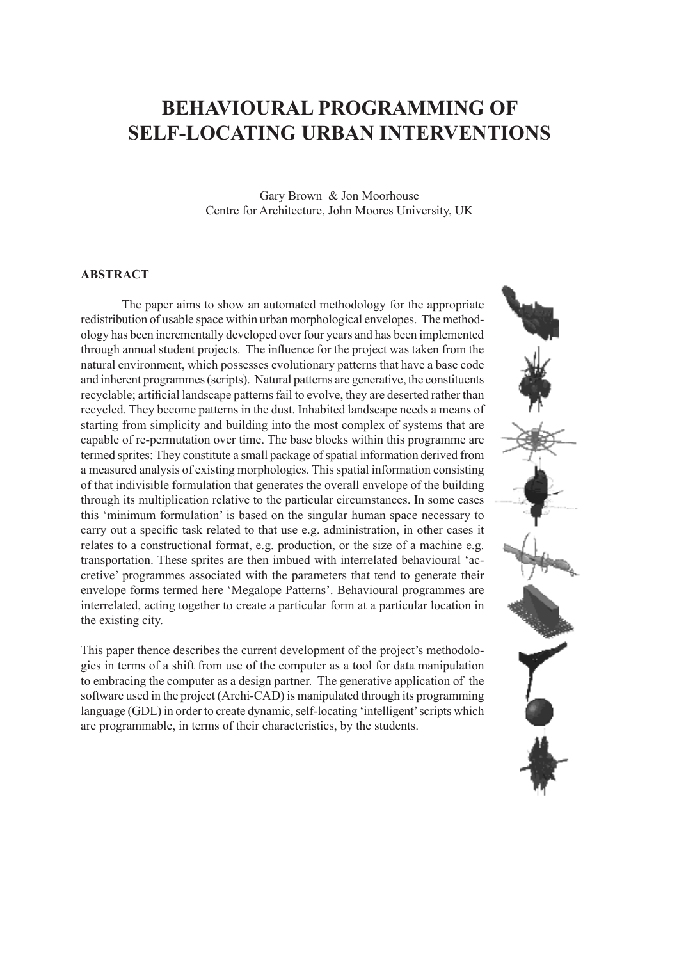## **Behavioural Programming of Self-Locating Urban Interventions**

Gary Brown & Jon Moorhouse Centre for Architecture, John Moores University, UK

## **ABSTRACT**

The paper aims to show an automated methodology for the appropriate redistribution of usable space within urban morphological envelopes. The methodology has been incrementally developed over four years and has been implemented through annual student projects. The influence for the project was taken from the natural environment, which possesses evolutionary patterns that have a base code and inherent programmes (scripts). Natural patterns are generative, the constituents recyclable; artificial landscape patterns fail to evolve, they are deserted rather than recycled. They become patterns in the dust. Inhabited landscape needs a means of starting from simplicity and building into the most complex of systems that are capable of re-permutation over time. The base blocks within this programme are termed sprites: They constitute a small package of spatial information derived from a measured analysis of existing morphologies. This spatial information consisting of that indivisible formulation that generates the overall envelope of the building through its multiplication relative to the particular circumstances. In some cases this 'minimum formulation' is based on the singular human space necessary to carry out a specific task related to that use e.g. administration, in other cases it relates to a constructional format, e.g. production, or the size of a machine e.g. transportation. These sprites are then imbued with interrelated behavioural 'accretive' programmes associated with the parameters that tend to generate their envelope forms termed here 'Megalope Patterns'. Behavioural programmes are interrelated, acting together to create a particular form at a particular location in the existing city.

This paper thence describes the current development of the project's methodologies in terms of a shift from use of the computer as a tool for data manipulation to embracing the computer as a design partner. The generative application of the software used in the project (Archi-CAD) is manipulated through its programming language (GDL) in order to create dynamic, self-locating 'intelligent' scripts which are programmable, in terms of their characteristics, by the students.

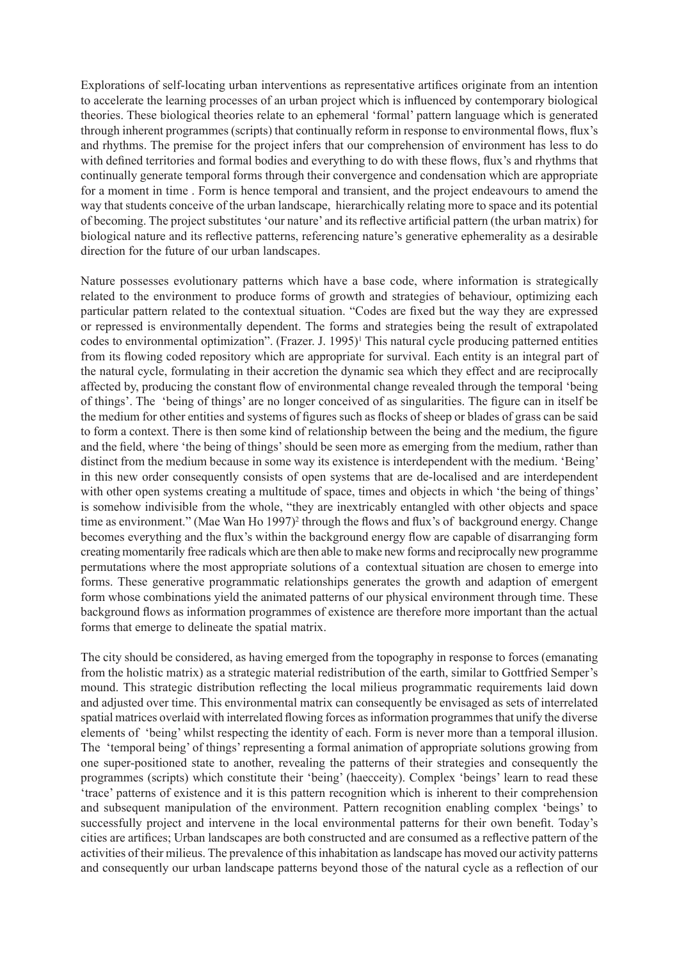Explorations of self-locating urban interventions as representative artifices originate from an intention to accelerate the learning processes of an urban project which is influenced by contemporary biological theories. These biological theories relate to an ephemeral 'formal' pattern language which is generated through inherent programmes (scripts) that continually reform in response to environmental flows, flux's and rhythms. The premise for the project infers that our comprehension of environment has less to do with defined territories and formal bodies and everything to do with these flows, flux's and rhythms that continually generate temporal forms through their convergence and condensation which are appropriate for a moment in time . Form is hence temporal and transient, and the project endeavours to amend the way that students conceive of the urban landscape, hierarchically relating more to space and its potential of becoming. The project substitutes 'our nature' and its reflective artificial pattern (the urban matrix) for biological nature and its reflective patterns, referencing nature's generative ephemerality as a desirable direction for the future of our urban landscapes.

Nature possesses evolutionary patterns which have a base code, where information is strategically related to the environment to produce forms of growth and strategies of behaviour, optimizing each particular pattern related to the contextual situation. "Codes are fixed but the way they are expressed or repressed is environmentally dependent. The forms and strategies being the result of extrapolated codes to environmental optimization". (Frazer. J. 1995)<sup>1</sup> This natural cycle producing patterned entities from its flowing coded repository which are appropriate for survival. Each entity is an integral part of the natural cycle, formulating in their accretion the dynamic sea which they effect and are reciprocally affected by, producing the constant flow of environmental change revealed through the temporal 'being of things'. The 'being of things' are no longer conceived of as singularities. The figure can in itself be the medium for other entities and systems of figures such as flocks of sheep or blades of grass can be said to form a context. There is then some kind of relationship between the being and the medium, the figure and the field, where 'the being of things' should be seen more as emerging from the medium, rather than distinct from the medium because in some way its existence is interdependent with the medium. 'Being' in this new order consequently consists of open systems that are de-localised and are interdependent with other open systems creating a multitude of space, times and objects in which 'the being of things' is somehow indivisible from the whole, "they are inextricably entangled with other objects and space time as environment." (Mae Wan Ho 1997)<sup>2</sup> through the flows and flux's of background energy. Change becomes everything and the flux's within the background energy flow are capable of disarranging form creating momentarily free radicals which are then able to make new forms and reciprocally new programme permutations where the most appropriate solutions of a contextual situation are chosen to emerge into forms. These generative programmatic relationships generates the growth and adaption of emergent form whose combinations yield the animated patterns of our physical environment through time. These background flows as information programmes of existence are therefore more important than the actual forms that emerge to delineate the spatial matrix.

The city should be considered, as having emerged from the topography in response to forces (emanating from the holistic matrix) as a strategic material redistribution of the earth, similar to Gottfried Semper's mound. This strategic distribution reflecting the local milieus programmatic requirements laid down and adjusted over time. This environmental matrix can consequently be envisaged as sets of interrelated spatial matrices overlaid with interrelated flowing forces as information programmes that unify the diverse elements of 'being' whilst respecting the identity of each. Form is never more than a temporal illusion. The 'temporal being' of things' representing a formal animation of appropriate solutions growing from one super-positioned state to another, revealing the patterns of their strategies and consequently the programmes (scripts) which constitute their 'being' (haecceity). Complex 'beings' learn to read these 'trace' patterns of existence and it is this pattern recognition which is inherent to their comprehension and subsequent manipulation of the environment. Pattern recognition enabling complex 'beings' to successfully project and intervene in the local environmental patterns for their own benefit. Today's cities are artifices; Urban landscapes are both constructed and are consumed as a reflective pattern of the activities of their milieus. The prevalence of this inhabitation as landscape has moved our activity patterns and consequently our urban landscape patterns beyond those of the natural cycle as a reflection of our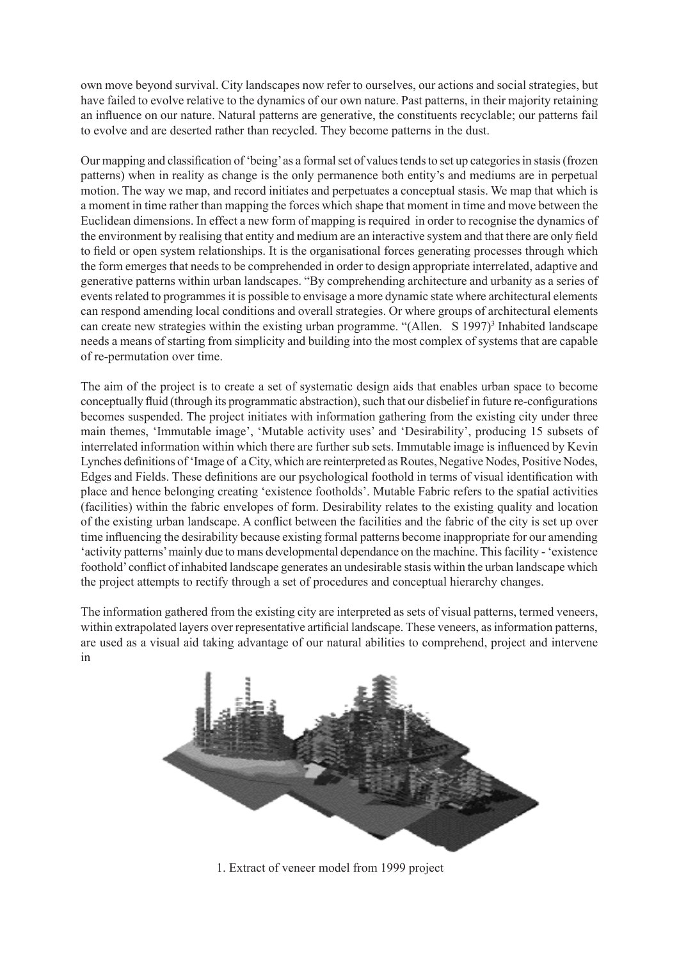own move beyond survival. City landscapes now refer to ourselves, our actions and social strategies, but have failed to evolve relative to the dynamics of our own nature. Past patterns, in their majority retaining an influence on our nature. Natural patterns are generative, the constituents recyclable; our patterns fail to evolve and are deserted rather than recycled. They become patterns in the dust.

Our mapping and classification of 'being' as a formal set of values tends to set up categories in stasis (frozen patterns) when in reality as change is the only permanence both entity's and mediums are in perpetual motion. The way we map, and record initiates and perpetuates a conceptual stasis. We map that which is a moment in time rather than mapping the forces which shape that moment in time and move between the Euclidean dimensions. In effect a new form of mapping is required in order to recognise the dynamics of the environment by realising that entity and medium are an interactive system and that there are only field to field or open system relationships. It is the organisational forces generating processes through which the form emerges that needs to be comprehended in order to design appropriate interrelated, adaptive and generative patterns within urban landscapes. "By comprehending architecture and urbanity as a series of events related to programmes it is possible to envisage a more dynamic state where architectural elements can respond amending local conditions and overall strategies. Or where groups of architectural elements can create new strategies within the existing urban programme. "(Allen. S 1997)<sup>3</sup> Inhabited landscape needs a means of starting from simplicity and building into the most complex of systems that are capable of re-permutation over time.

The aim of the project is to create a set of systematic design aids that enables urban space to become conceptually fluid (through its programmatic abstraction), such that our disbelief in future re-configurations becomes suspended. The project initiates with information gathering from the existing city under three main themes, 'Immutable image', 'Mutable activity uses' and 'Desirability', producing 15 subsets of interrelated information within which there are further sub sets. Immutable image is influenced by Kevin Lynches definitions of 'Image of a City, which are reinterpreted as Routes, Negative Nodes, Positive Nodes, Edges and Fields. These definitions are our psychological foothold in terms of visual identification with place and hence belonging creating 'existence footholds'. Mutable Fabric refers to the spatial activities (facilities) within the fabric envelopes of form. Desirability relates to the existing quality and location of the existing urban landscape. A conflict between the facilities and the fabric of the city is set up over time influencing the desirability because existing formal patterns become inappropriate for our amending 'activity patterns' mainly due to mans developmental dependance on the machine. This facility - 'existence foothold' conflict of inhabited landscape generates an undesirable stasis within the urban landscape which the project attempts to rectify through a set of procedures and conceptual hierarchy changes.

The information gathered from the existing city are interpreted as sets of visual patterns, termed veneers, within extrapolated layers over representative artificial landscape. These veneers, as information patterns, are used as a visual aid taking advantage of our natural abilities to comprehend, project and intervene in



1. Extract of veneer model from 1999 project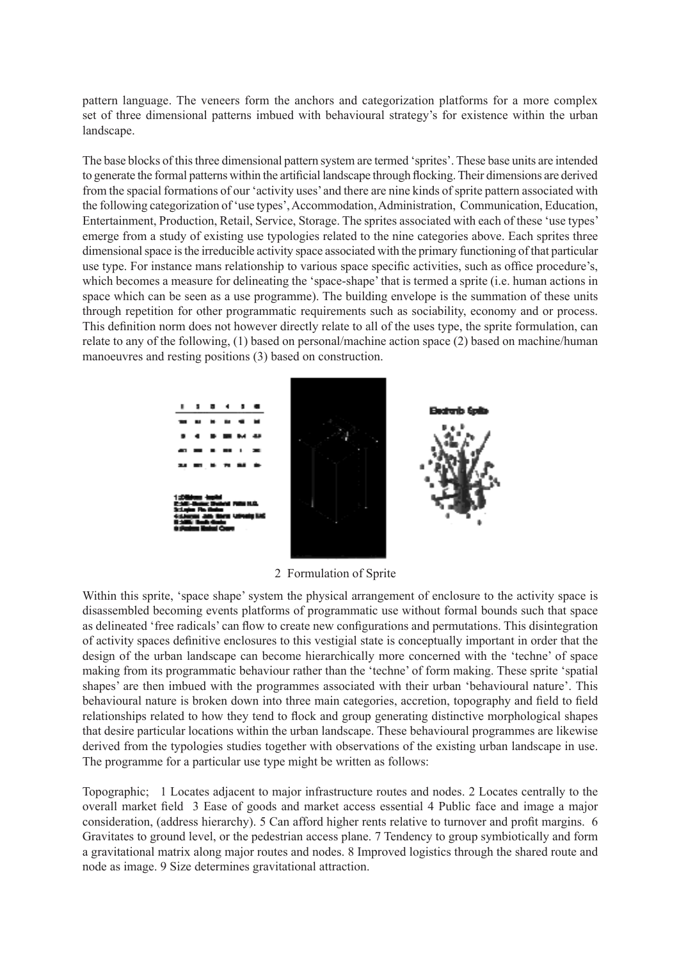pattern language. The veneers form the anchors and categorization platforms for a more complex set of three dimensional patterns imbued with behavioural strategy's for existence within the urban landscape.

The base blocks of this three dimensional pattern system are termed 'sprites'. These base units are intended to generate the formal patterns within the artificial landscape through flocking. Their dimensions are derived from the spacial formations of our 'activity uses' and there are nine kinds of sprite pattern associated with the following categorization of 'use types', Accommodation, Administration, Communication, Education, Entertainment, Production, Retail, Service, Storage. The sprites associated with each of these 'use types' emerge from a study of existing use typologies related to the nine categories above. Each sprites three dimensional space is the irreducible activity space associated with the primary functioning of that particular use type. For instance mans relationship to various space specific activities, such as office procedure's, which becomes a measure for delineating the 'space-shape' that is termed a sprite (i.e. human actions in space which can be seen as a use programme). The building envelope is the summation of these units through repetition for other programmatic requirements such as sociability, economy and or process. This definition norm does not however directly relate to all of the uses type, the sprite formulation, can relate to any of the following, (1) based on personal/machine action space (2) based on machine/human manoeuvres and resting positions (3) based on construction.



2 Formulation of Sprite

Within this sprite, 'space shape' system the physical arrangement of enclosure to the activity space is disassembled becoming events platforms of programmatic use without formal bounds such that space as delineated 'free radicals' can flow to create new configurations and permutations. This disintegration of activity spaces definitive enclosures to this vestigial state is conceptually important in order that the design of the urban landscape can become hierarchically more concerned with the 'techne' of space making from its programmatic behaviour rather than the 'techne' of form making. These sprite 'spatial shapes' are then imbued with the programmes associated with their urban 'behavioural nature'. This behavioural nature is broken down into three main categories, accretion, topography and field to field relationships related to how they tend to flock and group generating distinctive morphological shapes that desire particular locations within the urban landscape. These behavioural programmes are likewise derived from the typologies studies together with observations of the existing urban landscape in use. The programme for a particular use type might be written as follows:

Topographic; 1 Locates adjacent to major infrastructure routes and nodes. 2 Locates centrally to the overall market field 3 Ease of goods and market access essential 4 Public face and image a major consideration, (address hierarchy). 5 Can afford higher rents relative to turnover and profit margins. 6 Gravitates to ground level, or the pedestrian access plane. 7 Tendency to group symbiotically and form a gravitational matrix along major routes and nodes. 8 Improved logistics through the shared route and node as image. 9 Size determines gravitational attraction.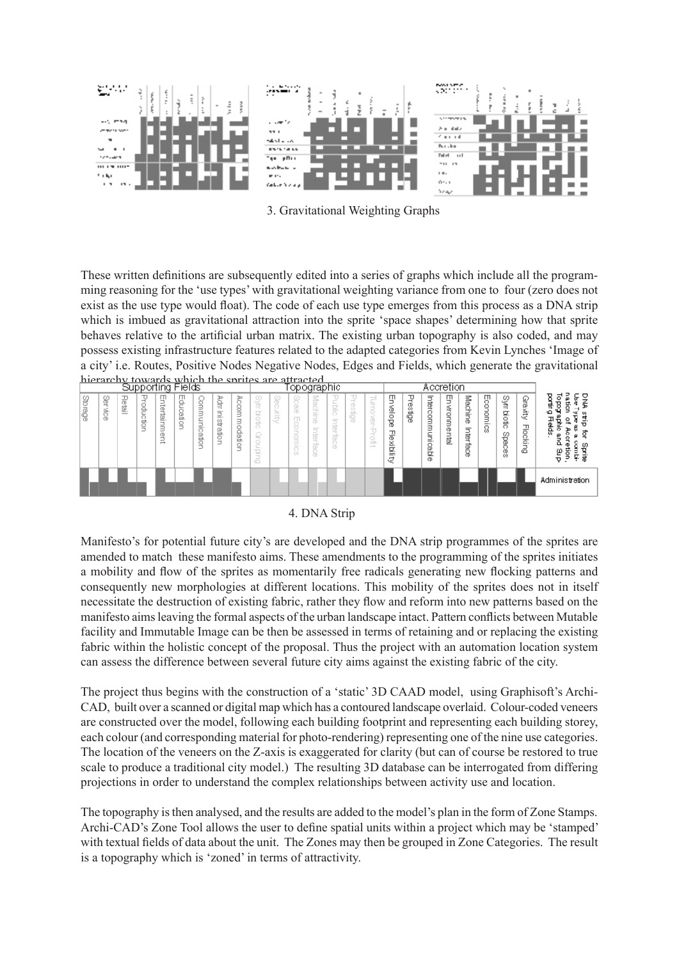

3. Gravitational Weighting Graphs

These written definitions are subsequently edited into a series of graphs which include all the programming reasoning for the 'use types' with gravitational weighting variance from one to four (zero does not exist as the use type would float). The code of each use type emerges from this process as a DNA strip which is imbued as gravitational attraction into the sprite 'space shapes' determining how that sprite behaves relative to the artificial urban matrix. The existing urban topography is also coded, and may possess existing infrastructure features related to the adapted categories from Kevin Lynches 'Image of a city' i.e. Routes, Positive Nodes Negative Nodes, Edges and Fields, which generate the gravitational hierarchy towards which the sprites are attracted **Lookstier** 

| pahharining Lieine |                        |         |             |                                                 |              |                                        |                     | ιυρυγιαριπο                         |                                                                                                                                                                                                                                                                                                                                                                                                                                                                                                                                          |                   |                                                                                                                                                                                                                                                                                                                                                                                                                                                                                                                                      |                                                                                                                                                                                                                                                                                                                                                                                                                                                                                                                                            |                                                      | Accietion |                                                                                        |                                                     |             |                                     |                               |                      |                  |                          |                               |                                                                                                 |
|--------------------|------------------------|---------|-------------|-------------------------------------------------|--------------|----------------------------------------|---------------------|-------------------------------------|------------------------------------------------------------------------------------------------------------------------------------------------------------------------------------------------------------------------------------------------------------------------------------------------------------------------------------------------------------------------------------------------------------------------------------------------------------------------------------------------------------------------------------------|-------------------|--------------------------------------------------------------------------------------------------------------------------------------------------------------------------------------------------------------------------------------------------------------------------------------------------------------------------------------------------------------------------------------------------------------------------------------------------------------------------------------------------------------------------------------|--------------------------------------------------------------------------------------------------------------------------------------------------------------------------------------------------------------------------------------------------------------------------------------------------------------------------------------------------------------------------------------------------------------------------------------------------------------------------------------------------------------------------------------------|------------------------------------------------------|-----------|----------------------------------------------------------------------------------------|-----------------------------------------------------|-------------|-------------------------------------|-------------------------------|----------------------|------------------|--------------------------|-------------------------------|-------------------------------------------------------------------------------------------------|
| Storage            | 8<br>∸<br>Ś.<br>ō<br>Ö | 공<br>률. | g<br>Ħ<br>- | ⊕<br>≓<br>Φ<br>혈.<br>-<br>ã<br>Φ<br>-<br>–<br>→ | 핉<br>읍.<br>₫ | ă<br>$\Rightarrow$<br>$\sim$<br>₹<br>ë | ğ<br>Ξ<br>streation | Acoon<br>Ξ<br><b>Dobo</b><br>₫<br>⊃ | $\sim$<br>$\frac{1}{2} \left( \frac{1}{2} \right) \left( \frac{1}{2} \right) \left( \frac{1}{2} \right) \left( \frac{1}{2} \right) \left( \frac{1}{2} \right) \left( \frac{1}{2} \right) \left( \frac{1}{2} \right) \left( \frac{1}{2} \right) \left( \frac{1}{2} \right) \left( \frac{1}{2} \right) \left( \frac{1}{2} \right) \left( \frac{1}{2} \right) \left( \frac{1}{2} \right) \left( \frac{1}{2} \right) \left( \frac{1}{2} \right) \left( \frac{1}{2} \right) \left( \frac$<br>모<br>u<br>d.<br>ਨ<br>=<br>$\sim$<br>--<br>-<br>ō | 닢<br>≒<br>--<br>ë | ≗<br>œ<br>贝<br>≂<br>-<br>$\sim$<br>$\sim$<br>$\frac{1}{2} \left( \frac{1}{2} \right) \left( \frac{1}{2} \right) \left( \frac{1}{2} \right) \left( \frac{1}{2} \right) \left( \frac{1}{2} \right) \left( \frac{1}{2} \right) \left( \frac{1}{2} \right) \left( \frac{1}{2} \right) \left( \frac{1}{2} \right) \left( \frac{1}{2} \right) \left( \frac{1}{2} \right) \left( \frac{1}{2} \right) \left( \frac{1}{2} \right) \left( \frac{1}{2} \right) \left( \frac{1}{2} \right) \left( \frac{1}{2} \right) \left( \frac$<br>$=$<br>O) | Machine<br>$\frac{1}{2} \left( \frac{1}{2} \right) \left( \frac{1}{2} \right) \left( \frac{1}{2} \right) \left( \frac{1}{2} \right) \left( \frac{1}{2} \right) \left( \frac{1}{2} \right) \left( \frac{1}{2} \right) \left( \frac{1}{2} \right) \left( \frac{1}{2} \right) \left( \frac{1}{2} \right) \left( \frac{1}{2} \right) \left( \frac{1}{2} \right) \left( \frac{1}{2} \right) \left( \frac{1}{2} \right) \left( \frac{1}{2} \right) \left( \frac{1}{2} \right) \left( \frac$<br>$-\pi$<br>$\overline{\phantom{a}}$<br>ą<br>a<br>S | -<br>$\sim$<br>ō<br>$=$<br><b>Contract</b><br>÷<br>Ö | đ         | $\overline{\phantom{a}}$<br>-<br>≒<br>B<br>$\frac{1}{2}$<br>Froff<br>$\longrightarrow$ | Ψ<br>匬<br>$\circ$<br>8<br>곪<br>×.<br>Q,<br>$=$<br>ą | υ<br>σ<br>ğ | Interconn<br>Ξ<br>-<br>È.<br>g<br>Φ | 9<br>ЖЮК.<br>Б<br>Φ<br>-<br>률 | Machine<br>Interface | Econom<br>j<br>8 | Sym<br>Ω,<br>g.<br>Seces | Gravity<br><b>Flocki</b><br>ā | ヮ<br>ਡ<br>ω<br>Β<br>뢋<br>g<br>Φ<br>ᠴ᠊ᡱ<br>훓<br>ø<br>ъ<br>Ω<br>ω<br>ρ<br>뚱<br>Ţ.<br>ಕ<br>э<br>π. |
|                    |                        |         |             |                                                 |              |                                        |                     |                                     |                                                                                                                                                                                                                                                                                                                                                                                                                                                                                                                                          |                   |                                                                                                                                                                                                                                                                                                                                                                                                                                                                                                                                      |                                                                                                                                                                                                                                                                                                                                                                                                                                                                                                                                            |                                                      |           |                                                                                        |                                                     |             |                                     |                               |                      |                  |                          |                               | Administration                                                                                  |

## 4. DNA Strip

Manifesto's for potential future city's are developed and the DNA strip programmes of the sprites are amended to match these manifesto aims. These amendments to the programming of the sprites initiates a mobility and flow of the sprites as momentarily free radicals generating new flocking patterns and consequently new morphologies at different locations. This mobility of the sprites does not in itself necessitate the destruction of existing fabric, rather they flow and reform into new patterns based on the manifesto aims leaving the formal aspects of the urban landscape intact. Pattern conflicts between Mutable facility and Immutable Image can be then be assessed in terms of retaining and or replacing the existing fabric within the holistic concept of the proposal. Thus the project with an automation location system can assess the difference between several future city aims against the existing fabric of the city.

The project thus begins with the construction of a 'static' 3D CAAD model, using Graphisoft's Archi-CAD, built over a scanned or digital map which has a contoured landscape overlaid. Colour-coded veneers are constructed over the model, following each building footprint and representing each building storey, each colour (and corresponding material for photo-rendering) representing one of the nine use categories. The location of the veneers on the Z-axis is exaggerated for clarity (but can of course be restored to true scale to produce a traditional city model.) The resulting 3D database can be interrogated from differing projections in order to understand the complex relationships between activity use and location.

The topography is then analysed, and the results are added to the model's plan in the form of Zone Stamps. Archi-CAD's Zone Tool allows the user to define spatial units within a project which may be 'stamped' with textual fields of data about the unit. The Zones may then be grouped in Zone Categories. The result is a topography which is 'zoned' in terms of attractivity.